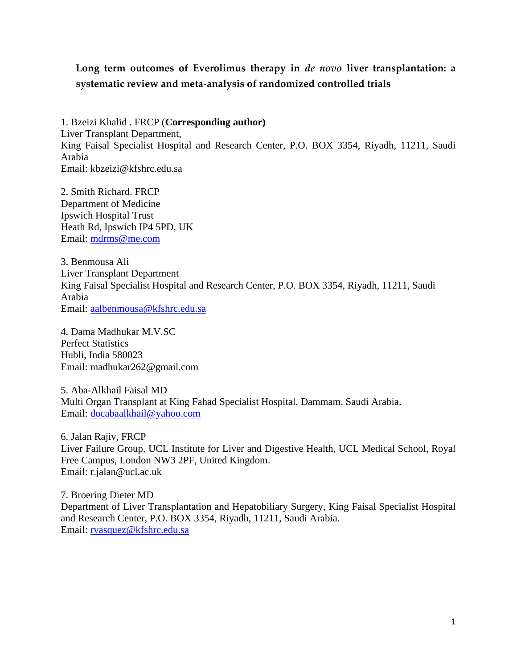# **Long term outcomes of Everolimus therapy in** *de novo* **liver transplantation: a systematic review and meta-analysis of randomized controlled trials**

1. Bzeizi Khalid . FRCP (**Corresponding author)** Liver Transplant Department, King Faisal Specialist Hospital and Research Center, P.O. BOX 3354, Riyadh, 11211, Saudi Arabia Email: kbzeizi@kfshrc.edu.sa

2. Smith Richard. FRCP Department of Medicine Ipswich Hospital Trust Heath Rd, Ipswich IP4 5PD, UK Email: [mdrms@me.com](mailto:mdrms@me.com)

3. Benmousa Ali Liver Transplant Department King Faisal Specialist Hospital and Research Center, P.O. BOX 3354, Riyadh, 11211, Saudi Arabia Email: [aalbenmousa@kfshrc.edu.sa](mailto:aalbenmousa@kfhsrc.edu.sa)

4. Dama Madhukar M.V.SC Perfect Statistics Hubli, India 580023 Email: madhukar262@gmail.com

5. Aba-Alkhail Faisal MD Multi Organ Transplant at King Fahad Specialist Hospital, Dammam, Saudi Arabia. Email: [docabaalkhail@yahoo.com](mailto:docabaalkhail@yahoo.com)

6. Jalan Rajiv, FRCP Liver Failure Group, UCL Institute for Liver and Digestive Health, UCL Medical School, Royal Free Campus, London NW3 2PF, United Kingdom. Email: r.jalan@ucl.ac.uk

7. Broering Dieter MD Department of Liver Transplantation and Hepatobiliary Surgery, King Faisal Specialist Hospital and Research Center, P.O. BOX 3354, Riyadh, 11211, Saudi Arabia. Email: [rvasquez@kfshrc.edu.sa](mailto:rvasquez@kfshrh.edu.sa)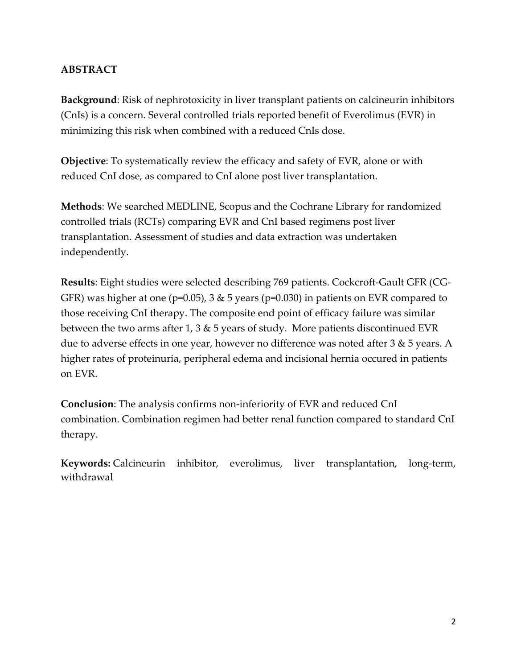## **ABSTRACT**

**Background**: Risk of nephrotoxicity in liver transplant patients on calcineurin inhibitors (CnIs) is a concern. Several controlled trials reported benefit of Everolimus (EVR) in minimizing this risk when combined with a reduced CnIs dose.

**Objective**: To systematically review the efficacy and safety of EVR, alone or with reduced CnI dose, as compared to CnI alone post liver transplantation.

**Methods**: We searched MEDLINE, Scopus and the Cochrane Library for randomized controlled trials (RCTs) comparing EVR and CnI based regimens post liver transplantation. Assessment of studies and data extraction was undertaken independently.

**Results**: Eight studies were selected describing 769 patients. Cockcroft-Gault GFR (CG-GFR) was higher at one ( $p=0.05$ ), 3 & 5 years ( $p=0.030$ ) in patients on EVR compared to those receiving CnI therapy. The composite end point of efficacy failure was similar between the two arms after 1, 3 & 5 years of study. More patients discontinued EVR due to adverse effects in one year, however no difference was noted after 3 & 5 years. A higher rates of proteinuria, peripheral edema and incisional hernia occured in patients on EVR.

**Conclusion**: The analysis confirms non-inferiority of EVR and reduced CnI combination. Combination regimen had better renal function compared to standard CnI therapy.

**Keywords:** Calcineurin inhibitor, everolimus, liver transplantation, long-term, withdrawal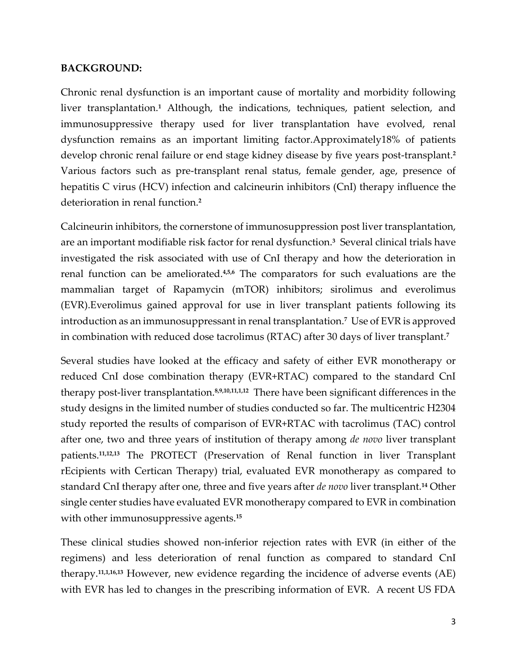#### **BACKGROUND:**

Chronic renal dysfunction is an important cause of mortality and morbidity following liver transplantation.**<sup>1</sup>** Although, the indications, techniques, patient selection, and immunosuppressive therapy used for liver transplantation have evolved, renal dysfunction remains as an important limiting factor.Approximately18% of patients develop chronic renal failure or end stage kidney disease by five years post-transplant.**<sup>2</sup>** Various factors such as pre-transplant renal status, female gender, age, presence of hepatitis C virus (HCV) infection and calcineurin inhibitors (CnI) therapy influence the deterioration in renal function.**<sup>2</sup>**

Calcineurin inhibitors, the cornerstone of immunosuppression post liver transplantation, are an important modifiable risk factor for renal dysfunction.**<sup>3</sup>** Several clinical trials have investigated the risk associated with use of CnI therapy and how the deterioration in renal function can be ameliorated.<sup>4,5,6</sup> The comparators for such evaluations are the mammalian target of Rapamycin (mTOR) inhibitors; sirolimus and everolimus (EVR).Everolimus gained approval for use in liver transplant patients following its introduction as an immunosuppressant in renal transplantation.**<sup>7</sup>** Use of EVR is approved in combination with reduced dose tacrolimus (RTAC) after 30 days of liver transplant.**<sup>7</sup>**

Several studies have looked at the efficacy and safety of either EVR monotherapy or reduced CnI dose combination therapy (EVR+RTAC) compared to the standard CnI therapy post-liver transplantation.**8,9,10,11,1,12** There have been significant differences in the study designs in the limited number of studies conducted so far. The multicentric H2304 study reported the results of comparison of EVR+RTAC with tacrolimus (TAC) control after one, two and three years of institution of therapy among *de novo* liver transplant patients.**11,12,13** The PROTECT (Preservation of Renal function in liver Transplant rEcipients with Certican Therapy) trial, evaluated EVR monotherapy as compared to standard CnI therapy after one, three and five years after *de novo* liver transplant.**<sup>14</sup>** Other single center studies have evaluated EVR monotherapy compared to EVR in combination with other immunosuppressive agents.**<sup>15</sup>**

These clinical studies showed non-inferior rejection rates with EVR (in either of the regimens) and less deterioration of renal function as compared to standard CnI therapy.**11,1,16,13** However, new evidence regarding the incidence of adverse events (AE) with EVR has led to changes in the prescribing information of EVR. A recent US FDA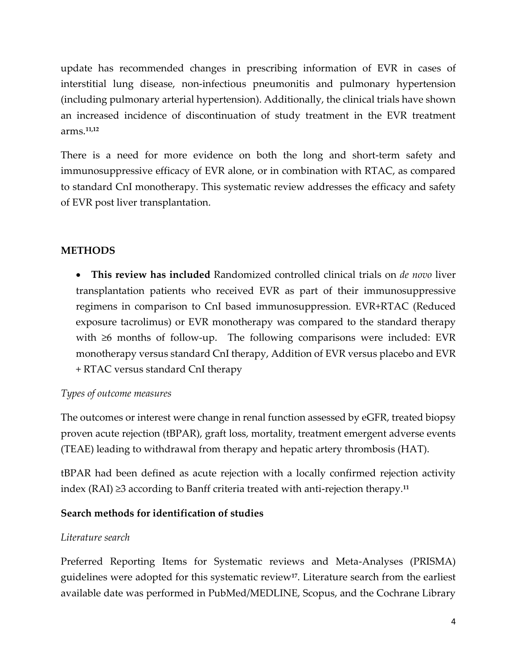update has recommended changes in prescribing information of EVR in cases of interstitial lung disease, non-infectious pneumonitis and pulmonary hypertension (including pulmonary arterial hypertension). Additionally, the clinical trials have shown an increased incidence of discontinuation of study treatment in the EVR treatment arms.**11,12**

There is a need for more evidence on both the long and short-term safety and immunosuppressive efficacy of EVR alone, or in combination with RTAC, as compared to standard CnI monotherapy. This systematic review addresses the efficacy and safety of EVR post liver transplantation.

## **METHODS**

• **This review has included** Randomized controlled clinical trials on *de novo* liver transplantation patients who received EVR as part of their immunosuppressive regimens in comparison to CnI based immunosuppression. EVR+RTAC (Reduced exposure tacrolimus) or EVR monotherapy was compared to the standard therapy with ≥6 months of follow-up. The following comparisons were included: EVR monotherapy versus standard CnI therapy, Addition of EVR versus placebo and EVR + RTAC versus standard CnI therapy

### *Types of outcome measures*

The outcomes or interest were change in renal function assessed by eGFR, treated biopsy proven acute rejection (tBPAR), graft loss, mortality, treatment emergent adverse events (TEAE) leading to withdrawal from therapy and hepatic artery thrombosis (HAT).

tBPAR had been defined as acute rejection with a locally confirmed rejection activity index (RAI) ≥3 according to Banff criteria treated with anti-rejection therapy.**<sup>11</sup>**

## **Search methods for identification of studies**

### *Literature search*

Preferred Reporting Items for Systematic reviews and Meta-Analyses (PRISMA) guidelines were adopted for this systematic review**17**. Literature search from the earliest available date was performed in PubMed/MEDLINE, Scopus, and the Cochrane Library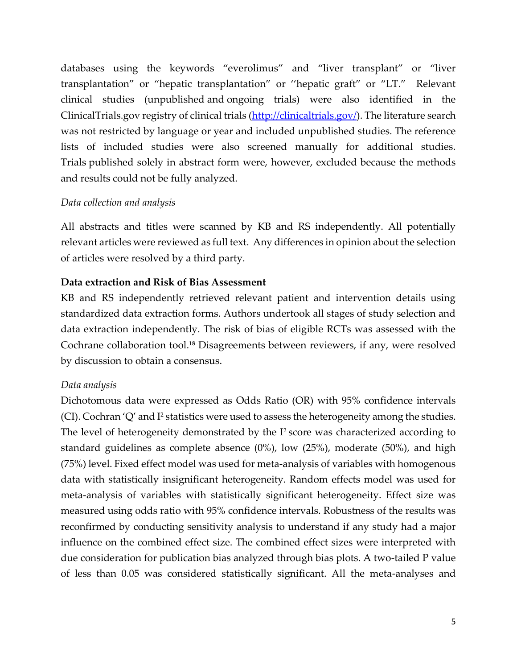databases using the keywords "everolimus" and "liver transplant" or "liver transplantation" or "hepatic transplantation" or ''hepatic graft" or "LT." Relevant clinical studies (unpublished and ongoing trials) were also identified in the ClinicalTrials.gov registry of clinical trials [\(http://clinicaltrials.gov/\)](http://clinicaltrials.gov/). The literature search was not restricted by language or year and included unpublished studies. The reference lists of included studies were also screened manually for additional studies. Trials published solely in abstract form were, however, excluded because the methods and results could not be fully analyzed.

#### *Data collection and analysis*

All abstracts and titles were scanned by KB and RS independently. All potentially relevant articles were reviewed as full text. Any differences in opinion about the selection of articles were resolved by a third party.

### **Data extraction and Risk of Bias Assessment**

KB and RS independently retrieved relevant patient and intervention details using standardized data extraction forms. Authors undertook all stages of study selection and data extraction independently. The risk of bias of eligible RCTs was assessed with the Cochrane collaboration tool.**<sup>18</sup>** Disagreements between reviewers, if any, were resolved by discussion to obtain a consensus.

### *Data analysis*

Dichotomous data were expressed as Odds Ratio (OR) with 95% confidence intervals  $(CI)$ . Cochran 'Q' and I<sup>2</sup> statistics were used to assess the heterogeneity among the studies. The level of heterogeneity demonstrated by the I<sup>2</sup> score was characterized according to standard guidelines as complete absence (0%), low (25%), moderate (50%), and high (75%) level. Fixed effect model was used for meta-analysis of variables with homogenous data with statistically insignificant heterogeneity. Random effects model was used for meta-analysis of variables with statistically significant heterogeneity. Effect size was measured using odds ratio with 95% confidence intervals. Robustness of the results was reconfirmed by conducting sensitivity analysis to understand if any study had a major influence on the combined effect size. The combined effect sizes were interpreted with due consideration for publication bias analyzed through bias plots. A two-tailed P value of less than 0.05 was considered statistically significant. All the meta-analyses and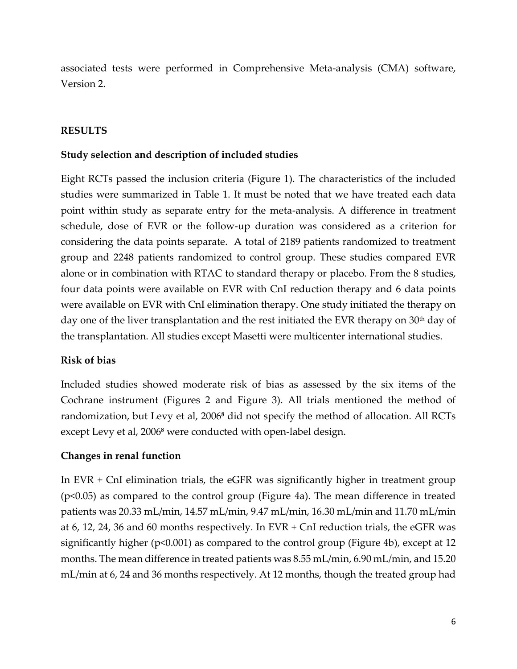associated tests were performed in Comprehensive Meta-analysis (CMA) software, Version 2.

### **RESULTS**

#### **Study selection and description of included studies**

Eight RCTs passed the inclusion criteria (Figure 1). The characteristics of the included studies were summarized in Table 1. It must be noted that we have treated each data point within study as separate entry for the meta-analysis. A difference in treatment schedule, dose of EVR or the follow-up duration was considered as a criterion for considering the data points separate. A total of 2189 patients randomized to treatment group and 2248 patients randomized to control group. These studies compared EVR alone or in combination with RTAC to standard therapy or placebo. From the 8 studies, four data points were available on EVR with CnI reduction therapy and 6 data points were available on EVR with CnI elimination therapy. One study initiated the therapy on day one of the liver transplantation and the rest initiated the EVR therapy on  $30<sup>th</sup>$  day of the transplantation. All studies except Masetti were multicenter international studies.

#### **Risk of bias**

Included studies showed moderate risk of bias as assessed by the six items of the Cochrane instrument (Figures 2 and Figure 3). All trials mentioned the method of randomization, but Levy et al, 2006**<sup>8</sup>** did not specify the method of allocation. All RCTs except Levy et al, 2006**<sup>8</sup>** were conducted with open-label design.

#### **Changes in renal function**

In EVR + CnI elimination trials, the eGFR was significantly higher in treatment group (p<0.05) as compared to the control group (Figure 4a). The mean difference in treated patients was 20.33 mL/min, 14.57 mL/min, 9.47 mL/min, 16.30 mL/min and 11.70 mL/min at 6, 12, 24, 36 and 60 months respectively. In EVR + CnI reduction trials, the eGFR was significantly higher (p<0.001) as compared to the control group (Figure 4b), except at 12 months. The mean difference in treated patients was 8.55 mL/min, 6.90 mL/min, and 15.20 mL/min at 6, 24 and 36 months respectively. At 12 months, though the treated group had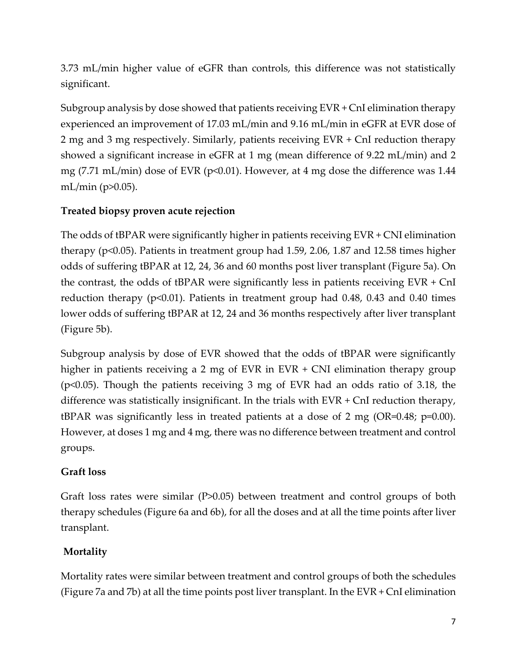3.73 mL/min higher value of eGFR than controls, this difference was not statistically significant.

Subgroup analysis by dose showed that patients receiving EVR + CnI elimination therapy experienced an improvement of 17.03 mL/min and 9.16 mL/min in eGFR at EVR dose of 2 mg and 3 mg respectively. Similarly, patients receiving EVR + CnI reduction therapy showed a significant increase in eGFR at 1 mg (mean difference of 9.22 mL/min) and 2 mg (7.71 mL/min) dose of EVR ( $p<0.01$ ). However, at 4 mg dose the difference was 1.44 mL/min (p>0.05).

## **Treated biopsy proven acute rejection**

The odds of tBPAR were significantly higher in patients receiving EVR + CNI elimination therapy (p<0.05). Patients in treatment group had 1.59, 2.06, 1.87 and 12.58 times higher odds of suffering tBPAR at 12, 24, 36 and 60 months post liver transplant (Figure 5a). On the contrast, the odds of tBPAR were significantly less in patients receiving EVR + CnI reduction therapy ( $p<0.01$ ). Patients in treatment group had 0.48, 0.43 and 0.40 times lower odds of suffering tBPAR at 12, 24 and 36 months respectively after liver transplant (Figure 5b).

Subgroup analysis by dose of EVR showed that the odds of tBPAR were significantly higher in patients receiving a 2 mg of EVR in EVR + CNI elimination therapy group (p<0.05). Though the patients receiving 3 mg of EVR had an odds ratio of 3.18, the difference was statistically insignificant. In the trials with EVR + CnI reduction therapy, tBPAR was significantly less in treated patients at a dose of 2 mg (OR=0.48; p=0.00). However, at doses 1 mg and 4 mg, there was no difference between treatment and control groups.

## **Graft loss**

Graft loss rates were similar (P>0.05) between treatment and control groups of both therapy schedules (Figure 6a and 6b), for all the doses and at all the time points after liver transplant.

# **Mortality**

Mortality rates were similar between treatment and control groups of both the schedules (Figure 7a and 7b) at all the time points post liver transplant. In the EVR + CnI elimination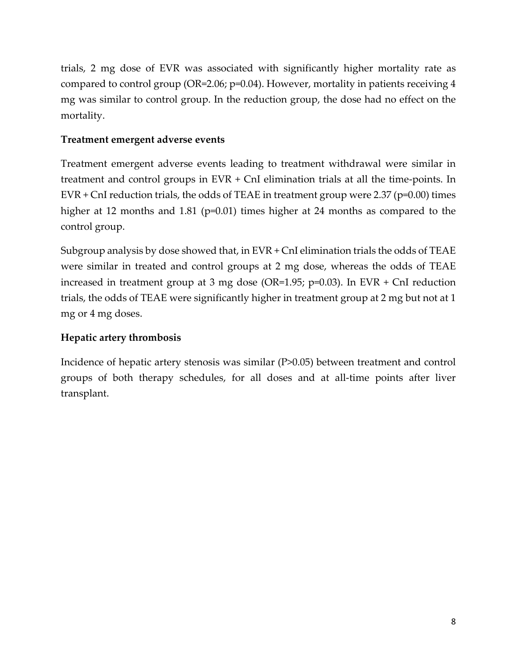trials, 2 mg dose of EVR was associated with significantly higher mortality rate as compared to control group (OR=2.06; p=0.04). However, mortality in patients receiving 4 mg was similar to control group. In the reduction group, the dose had no effect on the mortality.

### **Treatment emergent adverse events**

Treatment emergent adverse events leading to treatment withdrawal were similar in treatment and control groups in EVR + CnI elimination trials at all the time-points. In EVR  $+$  CnI reduction trials, the odds of TEAE in treatment group were 2.37 (p=0.00) times higher at 12 months and 1.81 (p=0.01) times higher at 24 months as compared to the control group.

Subgroup analysis by dose showed that, in EVR + CnI elimination trials the odds of TEAE were similar in treated and control groups at 2 mg dose, whereas the odds of TEAE increased in treatment group at 3 mg dose (OR=1.95; p=0.03). In EVR + CnI reduction trials, the odds of TEAE were significantly higher in treatment group at 2 mg but not at 1 mg or 4 mg doses.

## **Hepatic artery thrombosis**

Incidence of hepatic artery stenosis was similar (P>0.05) between treatment and control groups of both therapy schedules, for all doses and at all-time points after liver transplant.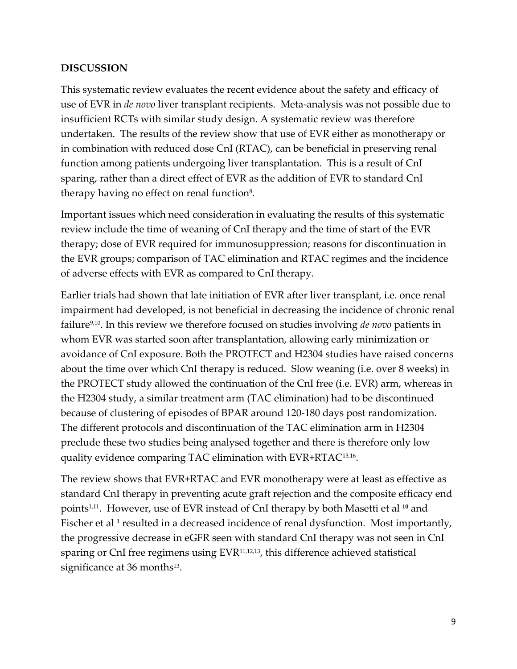#### **DISCUSSION**

This systematic review evaluates the recent evidence about the safety and efficacy of use of EVR in *de novo* liver transplant recipients. Meta-analysis was not possible due to insufficient RCTs with similar study design. A systematic review was therefore undertaken. The results of the review show that use of EVR either as monotherapy or in combination with reduced dose CnI (RTAC), can be beneficial in preserving renal function among patients undergoing liver transplantation. This is a result of CnI sparing, rather than a direct effect of EVR as the addition of EVR to standard CnI therapy having no effect on renal function $8$ .

Important issues which need consideration in evaluating the results of this systematic review include the time of weaning of CnI therapy and the time of start of the EVR therapy; dose of EVR required for immunosuppression; reasons for discontinuation in the EVR groups; comparison of TAC elimination and RTAC regimes and the incidence of adverse effects with EVR as compared to CnI therapy.

Earlier trials had shown that late initiation of EVR after liver transplant, i.e. once renal impairment had developed, is not beneficial in decreasing the incidence of chronic renal failure9,10. In this review we therefore focused on studies involving *de novo* patients in whom EVR was started soon after transplantation, allowing early minimization or avoidance of CnI exposure. Both the PROTECT and H2304 studies have raised concerns about the time over which CnI therapy is reduced. Slow weaning (i.e. over 8 weeks) in the PROTECT study allowed the continuation of the CnI free (i.e. EVR) arm, whereas in the H2304 study, a similar treatment arm (TAC elimination) had to be discontinued because of clustering of episodes of BPAR around 120-180 days post randomization. The different protocols and discontinuation of the TAC elimination arm in H2304 preclude these two studies being analysed together and there is therefore only low quality evidence comparing TAC elimination with EVR+RTAC13,16 .

The review shows that EVR+RTAC and EVR monotherapy were at least as effective as standard CnI therapy in preventing acute graft rejection and the composite efficacy end points<sup>1,11</sup>. However, use of EVR instead of CnI therapy by both Masetti et al <sup>10</sup> and Fischer et al<sup>1</sup> resulted in a decreased incidence of renal dysfunction. Most importantly, the progressive decrease in eGFR seen with standard CnI therapy was not seen in CnI sparing or CnI free regimens using EVR<sup>11,12,13</sup>, this difference achieved statistical significance at 36 months $^{13}$ .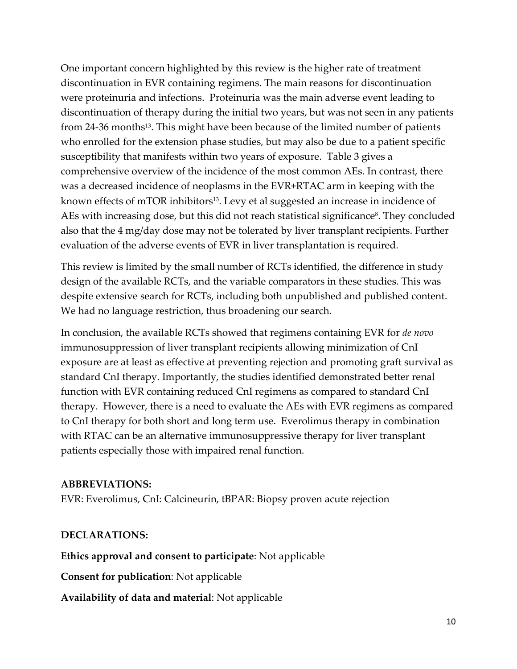One important concern highlighted by this review is the higher rate of treatment discontinuation in EVR containing regimens. The main reasons for discontinuation were proteinuria and infections. Proteinuria was the main adverse event leading to discontinuation of therapy during the initial two years, but was not seen in any patients from 24-36 months<sup>13</sup>. This might have been because of the limited number of patients who enrolled for the extension phase studies, but may also be due to a patient specific susceptibility that manifests within two years of exposure. Table 3 gives a comprehensive overview of the incidence of the most common AEs. In contrast, there was a decreased incidence of neoplasms in the EVR+RTAC arm in keeping with the known effects of mTOR inhibitors<sup>13</sup>. Levy et al suggested an increase in incidence of AEs with increasing dose, but this did not reach statistical significance<sup>8</sup>. They concluded also that the 4 mg/day dose may not be tolerated by liver transplant recipients. Further evaluation of the adverse events of EVR in liver transplantation is required.

This review is limited by the small number of RCTs identified, the difference in study design of the available RCTs, and the variable comparators in these studies. This was despite extensive search for RCTs, including both unpublished and published content. We had no language restriction, thus broadening our search.

In conclusion, the available RCTs showed that regimens containing EVR for *de novo* immunosuppression of liver transplant recipients allowing minimization of CnI exposure are at least as effective at preventing rejection and promoting graft survival as standard CnI therapy. Importantly, the studies identified demonstrated better renal function with EVR containing reduced CnI regimens as compared to standard CnI therapy. However, there is a need to evaluate the AEs with EVR regimens as compared to CnI therapy for both short and long term use. Everolimus therapy in combination with RTAC can be an alternative immunosuppressive therapy for liver transplant patients especially those with impaired renal function.

#### **ABBREVIATIONS:**

EVR: Everolimus, CnI: Calcineurin, tBPAR: Biopsy proven acute rejection

### **DECLARATIONS:**

**Ethics approval and consent to participate**: Not applicable

**Consent for publication**: Not applicable

**Availability of data and material**: Not applicable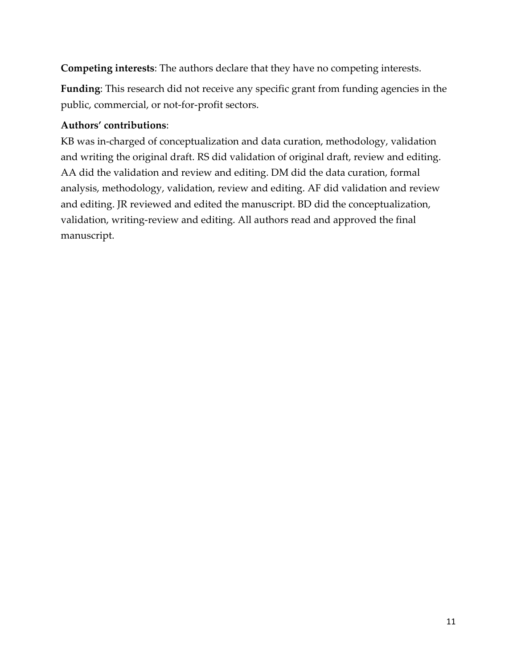**Competing interests**: The authors declare that they have no competing interests.

**Funding**: This research did not receive any specific grant from funding agencies in the public, commercial, or not-for-profit sectors.

## **Authors' contributions**:

KB was in-charged of conceptualization and data curation, methodology, validation and writing the original draft. RS did validation of original draft, review and editing. AA did the validation and review and editing. DM did the data curation, formal analysis, methodology, validation, review and editing. AF did validation and review and editing. JR reviewed and edited the manuscript. BD did the conceptualization, validation, writing-review and editing. All authors read and approved the final manuscript.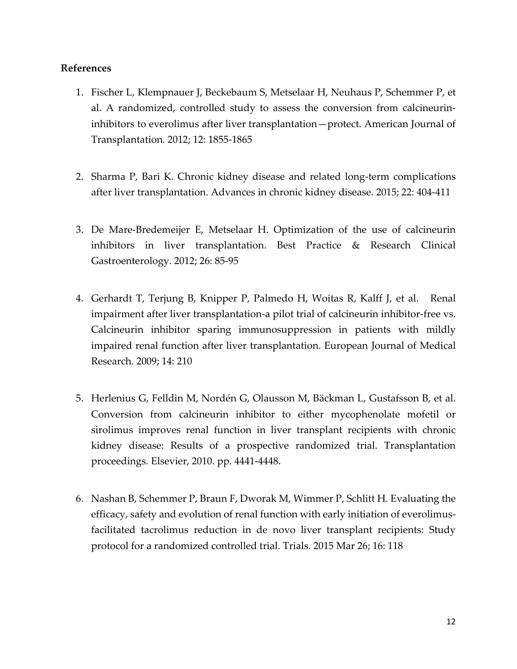#### **References**

- 1. Fischer L, Klempnauer J, Beckebaum S, Metselaar H, Neuhaus P, Schemmer P, et al. A randomized, controlled study to assess the conversion from calcineurin‐ inhibitors to everolimus after liver transplantation—protect. American Journal of Transplantation*.* 2012; 12: 1855-1865
- 2. Sharma P, Bari K. Chronic kidney disease and related long-term complications after liver transplantation. Advances in chronic kidney disease*.* 2015; 22: 404-411
- 3. De Mare-Bredemeijer E, Metselaar H. Optimization of the use of calcineurin inhibitors in liver transplantation. Best Practice & Research Clinical Gastroenterology. 2012; 26: 85-95
- 4. Gerhardt T, Terjung B, Knipper P, Palmedo H, Woitas R, Kalff J, et al. Renal impairment after liver transplantation-a pilot trial of calcineurin inhibitor-free vs. Calcineurin inhibitor sparing immunosuppression in patients with mildly impaired renal function after liver transplantation. European Journal of Medical Research*.* 2009; 14: 210
- 5. Herlenius G, Felldin M, Nordén G, Olausson M, Bäckman L, Gustafsson B, et al. Conversion from calcineurin inhibitor to either mycophenolate mofetil or sirolimus improves renal function in liver transplant recipients with chronic kidney disease: Results of a prospective randomized trial. Transplantation proceedings*.* Elsevier, 2010. pp. 4441-4448.
- 6. Nashan B, Schemmer P, Braun F, Dworak M, Wimmer P, Schlitt H. Evaluating the efficacy, safety and evolution of renal function with early initiation of everolimusfacilitated tacrolimus reduction in de novo liver transplant recipients: Study protocol for a randomized controlled trial. Trials*.* 2015 Mar 26; 16: 118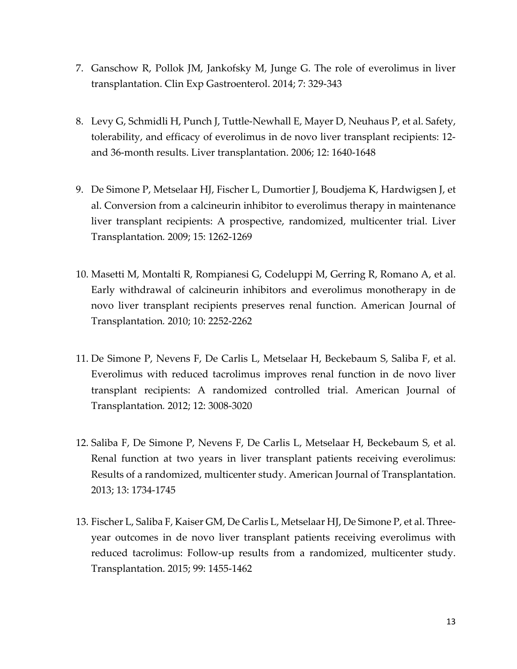- 7. Ganschow R, Pollok JM, Jankofsky M, Junge G. The role of everolimus in liver transplantation. Clin Exp Gastroenterol. 2014; 7: 329-343
- 8. Levy G, Schmidli H, Punch J, Tuttle‐Newhall E, Mayer D, Neuhaus P, et al. Safety, tolerability, and efficacy of everolimus in de novo liver transplant recipients: 12‐ and 36‐month results. Liver transplantation. 2006; 12: 1640-1648
- 9. De Simone P, Metselaar HJ, Fischer L, Dumortier J, Boudjema K, Hardwigsen J, et al. Conversion from a calcineurin inhibitor to everolimus therapy in maintenance liver transplant recipients: A prospective, randomized, multicenter trial. Liver Transplantation*.* 2009; 15: 1262-1269
- 10. Masetti M, Montalti R, Rompianesi G, Codeluppi M, Gerring R, Romano A, et al. Early withdrawal of calcineurin inhibitors and everolimus monotherapy in de novo liver transplant recipients preserves renal function. American Journal of Transplantation*.* 2010; 10: 2252-2262
- 11. De Simone P, Nevens F, De Carlis L, Metselaar H, Beckebaum S, Saliba F, et al. Everolimus with reduced tacrolimus improves renal function in de novo liver transplant recipients: A randomized controlled trial. American Journal of Transplantation*.* 2012; 12: 3008-3020
- 12. Saliba F, De Simone P, Nevens F, De Carlis L, Metselaar H, Beckebaum S, et al. Renal function at two years in liver transplant patients receiving everolimus: Results of a randomized, multicenter study. American Journal of Transplantation. 2013; 13: 1734-1745
- 13. Fischer L, Saliba F, Kaiser GM, De Carlis L, Metselaar HJ, De Simone P, et al. Threeyear outcomes in de novo liver transplant patients receiving everolimus with reduced tacrolimus: Follow-up results from a randomized, multicenter study. Transplantation. 2015; 99: 1455-1462